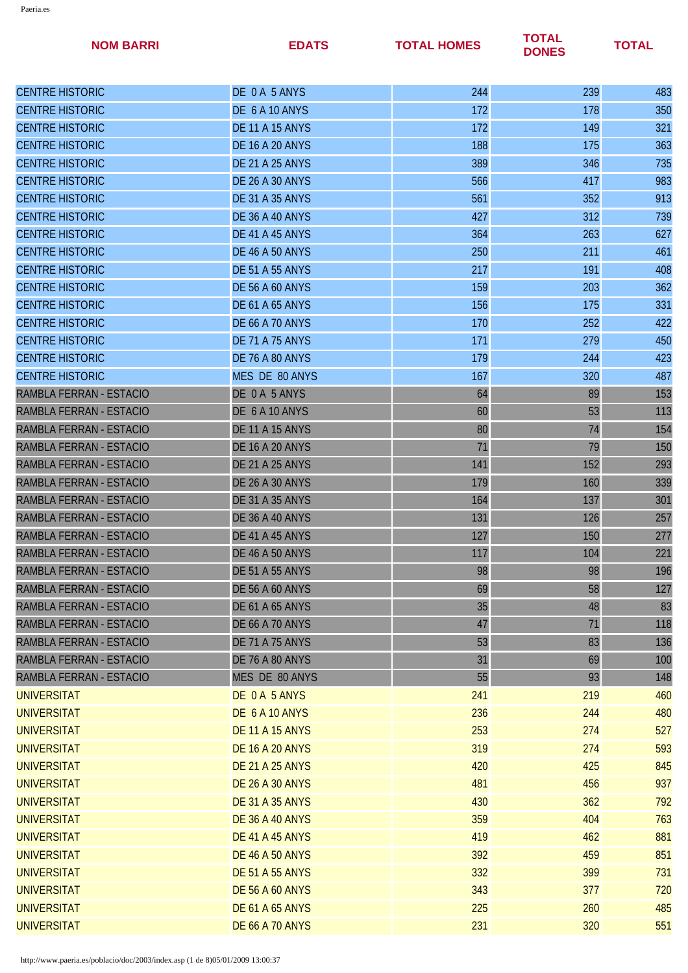| <b>NOM BARRI</b>        | <b>EDATS</b>           | <b>TOTAL HOMES</b> | <b>TOTAL</b><br><b>DONES</b> | <b>TOTAL</b> |
|-------------------------|------------------------|--------------------|------------------------------|--------------|
| <b>CENTRE HISTORIC</b>  | DE 0 A 5 ANYS          | 244                | 239                          | 483          |
| <b>CENTRE HISTORIC</b>  | DE 6 A 10 ANYS         | 172                | 178                          | 350          |
| <b>CENTRE HISTORIC</b>  | <b>DE 11 A 15 ANYS</b> | 172                | 149                          | 321          |
| <b>CENTRE HISTORIC</b>  | <b>DE 16 A 20 ANYS</b> | 188                | 175                          | 363          |
| <b>CENTRE HISTORIC</b>  | <b>DE 21 A 25 ANYS</b> | 389                | 346                          | 735          |
| <b>CENTRE HISTORIC</b>  | <b>DE 26 A 30 ANYS</b> | 566                | 417                          | 983          |
| <b>CENTRE HISTORIC</b>  | <b>DE 31 A 35 ANYS</b> | 561                | 352                          | 913          |
| <b>CENTRE HISTORIC</b>  | <b>DE 36 A 40 ANYS</b> | 427                | 312                          | 739          |
| <b>CENTRE HISTORIC</b>  | DE 41 A 45 ANYS        | 364                | 263                          | 627          |
| <b>CENTRE HISTORIC</b>  | <b>DE 46 A 50 ANYS</b> | 250                | 211                          | 461          |
| <b>CENTRE HISTORIC</b>  | <b>DE 51 A 55 ANYS</b> | 217                | 191                          | 408          |
| <b>CENTRE HISTORIC</b>  | <b>DE 56 A 60 ANYS</b> | 159                | 203                          | 362          |
| <b>CENTRE HISTORIC</b>  | <b>DE 61 A 65 ANYS</b> | 156                | 175                          | 331          |
| <b>CENTRE HISTORIC</b>  | <b>DE 66 A 70 ANYS</b> | 170                | 252                          | 422          |
| <b>CENTRE HISTORIC</b>  | <b>DE 71 A 75 ANYS</b> | 171                | 279                          | 450          |
| <b>CENTRE HISTORIC</b>  | <b>DE 76 A 80 ANYS</b> | 179                | 244                          | 423          |
| <b>CENTRE HISTORIC</b>  | MES DE 80 ANYS         | 167                | 320                          | 487          |
| RAMBLA FERRAN - ESTACIO | DE 0 A 5 ANYS          | 64                 | 89                           | 153          |
| RAMBLA FERRAN - ESTACIO | DE 6 A 10 ANYS         | 60                 | 53                           | 113          |
| RAMBLA FERRAN - ESTACIO | <b>DE 11 A 15 ANYS</b> | 80                 | 74                           | 154          |
| RAMBLA FERRAN - ESTACIO | <b>DE 16 A 20 ANYS</b> | 71                 | 79                           | 150          |
| RAMBLA FERRAN - ESTACIO | <b>DE 21 A 25 ANYS</b> | 141                | 152                          | 293          |
| RAMBLA FERRAN - ESTACIO | <b>DE 26 A 30 ANYS</b> | 179                | 160                          | 339          |
| RAMBLA FERRAN - ESTACIO | <b>DE 31 A 35 ANYS</b> | 164                | 137                          | 301          |
| RAMBLA FERRAN - ESTACIO | <b>DE 36 A 40 ANYS</b> | 131                | 126                          | 257          |
| RAMBLA FERRAN - ESTACIO | DE 41 A 45 ANYS        | 127                | 150                          | 277          |
| RAMBLA FERRAN - ESTACIO | <b>DE 46 A 50 ANYS</b> | 117                | 104                          | 221          |
| RAMBLA FERRAN - ESTACIO | <b>DE 51 A 55 ANYS</b> | 98                 | 98                           | 196          |
| RAMBLA FERRAN - ESTACIO | <b>DE 56 A 60 ANYS</b> | 69                 | 58                           | 127          |
| RAMBLA FERRAN - ESTACIO | <b>DE 61 A 65 ANYS</b> | 35                 | 48                           | 83           |
| RAMBLA FERRAN - ESTACIO | <b>DE 66 A 70 ANYS</b> | 47                 | 71                           | 118          |
| RAMBLA FERRAN - ESTACIO | <b>DE 71 A 75 ANYS</b> | 53                 | 83                           | 136          |
| RAMBLA FERRAN - ESTACIO | <b>DE 76 A 80 ANYS</b> | 31                 | 69                           | 100          |
| RAMBLA FERRAN - ESTACIO | MES DE 80 ANYS         | 55                 | 93                           | 148          |
| <b>UNIVERSITAT</b>      | DE 0 A 5 ANYS          | 241                | 219                          | 460          |
| <b>UNIVERSITAT</b>      | DE 6 A 10 ANYS         | 236                | 244                          | 480          |
| <b>UNIVERSITAT</b>      | <b>DE 11 A 15 ANYS</b> | 253                | 274                          | 527          |
| <b>UNIVERSITAT</b>      | <b>DE 16 A 20 ANYS</b> | 319                | 274                          | 593          |
| <b>UNIVERSITAT</b>      | <b>DE 21 A 25 ANYS</b> | 420                | 425                          | 845          |
| <b>UNIVERSITAT</b>      | <b>DE 26 A 30 ANYS</b> | 481                | 456                          | 937          |
| <b>UNIVERSITAT</b>      | <b>DE 31 A 35 ANYS</b> | 430                | 362                          | 792          |
| <b>UNIVERSITAT</b>      | <b>DE 36 A 40 ANYS</b> | 359                | 404                          | 763          |
| <b>UNIVERSITAT</b>      | <b>DE 41 A 45 ANYS</b> | 419                | 462                          | 881          |
| <b>UNIVERSITAT</b>      | <b>DE 46 A 50 ANYS</b> | 392                | 459                          | 851          |
| <b>UNIVERSITAT</b>      | <b>DE 51 A 55 ANYS</b> | 332                | 399                          | 731          |
| <b>UNIVERSITAT</b>      | <b>DE 56 A 60 ANYS</b> | 343                | 377                          | 720          |
| <b>UNIVERSITAT</b>      | <b>DE 61 A 65 ANYS</b> | 225                | 260                          | 485          |
| <b>UNIVERSITAT</b>      | <b>DE 66 A 70 ANYS</b> | 231                | 320                          | 551          |
|                         |                        |                    |                              |              |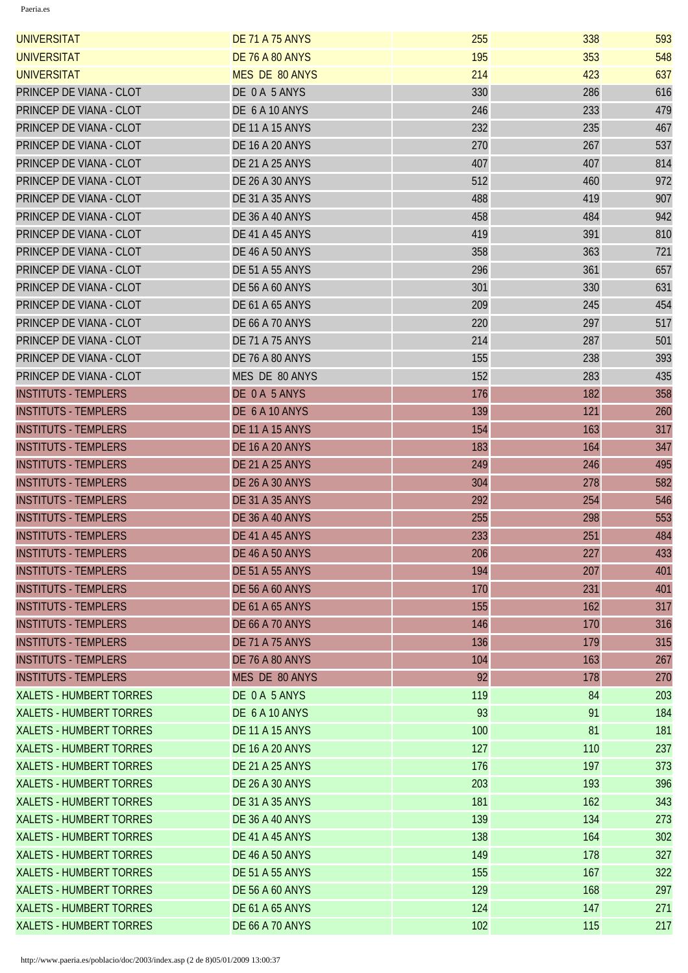| <b>UNIVERSITAT</b>             | <b>DE 71 A 75 ANYS</b> | 255 | 338 | 593 |
|--------------------------------|------------------------|-----|-----|-----|
| <b>UNIVERSITAT</b>             | <b>DE 76 A 80 ANYS</b> | 195 | 353 | 548 |
| <b>UNIVERSITAT</b>             | <b>MES DE 80 ANYS</b>  | 214 | 423 | 637 |
| PRINCEP DE VIANA - CLOT        | DE 0A 5 ANYS           | 330 | 286 | 616 |
| PRINCEP DE VIANA - CLOT        | DE 6 A 10 ANYS         | 246 | 233 | 479 |
| PRINCEP DE VIANA - CLOT        | <b>DE 11 A 15 ANYS</b> | 232 | 235 | 467 |
| PRINCEP DE VIANA - CLOT        | <b>DE 16 A 20 ANYS</b> | 270 | 267 | 537 |
| PRINCEP DE VIANA - CLOT        | <b>DE 21 A 25 ANYS</b> | 407 | 407 | 814 |
| PRINCEP DE VIANA - CLOT        | <b>DE 26 A 30 ANYS</b> | 512 | 460 | 972 |
| PRINCEP DE VIANA - CLOT        | <b>DE 31 A 35 ANYS</b> | 488 | 419 | 907 |
| PRINCEP DE VIANA - CLOT        | <b>DE 36 A 40 ANYS</b> | 458 | 484 | 942 |
| PRINCEP DE VIANA - CLOT        | DE 41 A 45 ANYS        | 419 | 391 | 810 |
| PRINCEP DE VIANA - CLOT        | <b>DE 46 A 50 ANYS</b> | 358 | 363 | 721 |
| PRINCEP DE VIANA - CLOT        | <b>DE 51 A 55 ANYS</b> | 296 | 361 | 657 |
| PRINCEP DE VIANA - CLOT        | <b>DE 56 A 60 ANYS</b> | 301 | 330 | 631 |
| PRINCEP DE VIANA - CLOT        | <b>DE 61 A 65 ANYS</b> | 209 | 245 | 454 |
| PRINCEP DE VIANA - CLOT        | <b>DE 66 A 70 ANYS</b> | 220 | 297 | 517 |
| PRINCEP DE VIANA - CLOT        | <b>DE 71 A 75 ANYS</b> | 214 | 287 | 501 |
| PRINCEP DE VIANA - CLOT        | DE 76 A 80 ANYS        | 155 | 238 | 393 |
| PRINCEP DE VIANA - CLOT        | MES DE 80 ANYS         | 152 | 283 | 435 |
| <b>INSTITUTS - TEMPLERS</b>    | DE 0A 5 ANYS           | 176 | 182 | 358 |
| <b>INSTITUTS - TEMPLERS</b>    | DE 6 A 10 ANYS         | 139 | 121 | 260 |
| <b>INSTITUTS - TEMPLERS</b>    | <b>DE 11 A 15 ANYS</b> | 154 | 163 | 317 |
| <b>INSTITUTS - TEMPLERS</b>    | <b>DE 16 A 20 ANYS</b> | 183 | 164 | 347 |
| <b>INSTITUTS - TEMPLERS</b>    | <b>DE 21 A 25 ANYS</b> | 249 | 246 | 495 |
| <b>INSTITUTS - TEMPLERS</b>    | <b>DE 26 A 30 ANYS</b> | 304 | 278 | 582 |
| <b>INSTITUTS - TEMPLERS</b>    | <b>DE 31 A 35 ANYS</b> | 292 | 254 | 546 |
| <b>INSTITUTS - TEMPLERS</b>    | <b>DE 36 A 40 ANYS</b> | 255 | 298 | 553 |
| <b>INSTITUTS - TEMPLERS</b>    | DE 41 A 45 ANYS        | 233 | 251 | 484 |
| <b>INSTITUTS - TEMPLERS</b>    | <b>DE 46 A 50 ANYS</b> | 206 | 227 | 433 |
| <b>INSTITUTS - TEMPLERS</b>    | <b>DE 51 A 55 ANYS</b> | 194 | 207 | 401 |
| <b>INSTITUTS - TEMPLERS</b>    | <b>DE 56 A 60 ANYS</b> | 170 | 231 | 401 |
| <b>INSTITUTS - TEMPLERS</b>    | <b>DE 61 A 65 ANYS</b> | 155 | 162 | 317 |
| <b>INSTITUTS - TEMPLERS</b>    | <b>DE 66 A 70 ANYS</b> | 146 | 170 | 316 |
| <b>INSTITUTS - TEMPLERS</b>    | <b>DE 71 A 75 ANYS</b> | 136 | 179 | 315 |
| <b>INSTITUTS - TEMPLERS</b>    | <b>DE 76 A 80 ANYS</b> | 104 | 163 | 267 |
| <b>INSTITUTS - TEMPLERS</b>    | MES DE 80 ANYS         | 92  | 178 | 270 |
| <b>XALETS - HUMBERT TORRES</b> | DE 0 A 5 ANYS          | 119 | 84  | 203 |
| <b>XALETS - HUMBERT TORRES</b> | DE 6 A 10 ANYS         | 93  | 91  | 184 |
| <b>XALETS - HUMBERT TORRES</b> | <b>DE 11 A 15 ANYS</b> | 100 | 81  | 181 |
| <b>XALETS - HUMBERT TORRES</b> | <b>DE 16 A 20 ANYS</b> | 127 | 110 | 237 |
| <b>XALETS - HUMBERT TORRES</b> | <b>DE 21 A 25 ANYS</b> | 176 | 197 | 373 |
| <b>XALETS - HUMBERT TORRES</b> | <b>DE 26 A 30 ANYS</b> | 203 | 193 | 396 |
| <b>XALETS - HUMBERT TORRES</b> | <b>DE 31 A 35 ANYS</b> | 181 | 162 | 343 |
| <b>XALETS - HUMBERT TORRES</b> | <b>DE 36 A 40 ANYS</b> | 139 | 134 | 273 |
| <b>XALETS - HUMBERT TORRES</b> | DE 41 A 45 ANYS        | 138 | 164 | 302 |
| <b>XALETS - HUMBERT TORRES</b> | <b>DE 46 A 50 ANYS</b> | 149 | 178 | 327 |
| <b>XALETS - HUMBERT TORRES</b> | <b>DE 51 A 55 ANYS</b> | 155 | 167 | 322 |
| <b>XALETS - HUMBERT TORRES</b> | <b>DE 56 A 60 ANYS</b> | 129 | 168 | 297 |
| <b>XALETS - HUMBERT TORRES</b> | <b>DE 61 A 65 ANYS</b> | 124 | 147 | 271 |
| <b>XALETS - HUMBERT TORRES</b> | <b>DE 66 A 70 ANYS</b> | 102 | 115 | 217 |
|                                |                        |     |     |     |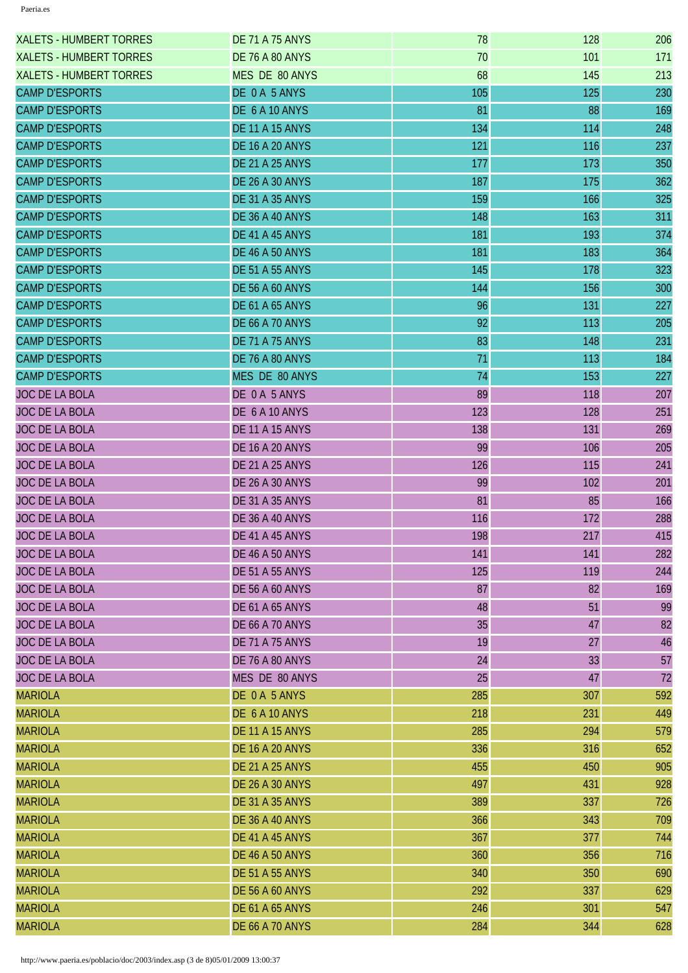| <b>XALETS - HUMBERT TORRES</b> | <b>DE 71 A 75 ANYS</b> | 78  | 128 | 206 |
|--------------------------------|------------------------|-----|-----|-----|
| <b>XALETS - HUMBERT TORRES</b> | <b>DE 76 A 80 ANYS</b> | 70  | 101 | 171 |
| <b>XALETS - HUMBERT TORRES</b> | MES DE 80 ANYS         | 68  | 145 | 213 |
| <b>CAMP D'ESPORTS</b>          | DE 0 A 5 ANYS          | 105 | 125 | 230 |
| <b>CAMP D'ESPORTS</b>          | DE 6 A 10 ANYS         | 81  | 88  | 169 |
| <b>CAMP D'ESPORTS</b>          | <b>DE 11 A 15 ANYS</b> | 134 | 114 | 248 |
| <b>CAMP D'ESPORTS</b>          | <b>DE 16 A 20 ANYS</b> | 121 | 116 | 237 |
| <b>CAMP D'ESPORTS</b>          | <b>DE 21 A 25 ANYS</b> | 177 | 173 | 350 |
| <b>CAMP D'ESPORTS</b>          | <b>DE 26 A 30 ANYS</b> | 187 | 175 | 362 |
| <b>CAMP D'ESPORTS</b>          | <b>DE 31 A 35 ANYS</b> | 159 | 166 | 325 |
| <b>CAMP D'ESPORTS</b>          | DE 36 A 40 ANYS        | 148 | 163 | 311 |
| <b>CAMP D'ESPORTS</b>          | DE 41 A 45 ANYS        | 181 | 193 | 374 |
| <b>CAMP D'ESPORTS</b>          | <b>DE 46 A 50 ANYS</b> | 181 | 183 | 364 |
| <b>CAMP D'ESPORTS</b>          | <b>DE 51 A 55 ANYS</b> | 145 | 178 | 323 |
| <b>CAMP D'ESPORTS</b>          | <b>DE 56 A 60 ANYS</b> | 144 | 156 | 300 |
| <b>CAMP D'ESPORTS</b>          | <b>DE 61 A 65 ANYS</b> | 96  | 131 | 227 |
| <b>CAMP D'ESPORTS</b>          | <b>DE 66 A 70 ANYS</b> | 92  | 113 | 205 |
| <b>CAMP D'ESPORTS</b>          | <b>DE 71 A 75 ANYS</b> | 83  | 148 | 231 |
| <b>CAMP D'ESPORTS</b>          | <b>DE 76 A 80 ANYS</b> | 71  | 113 | 184 |
| <b>CAMP D'ESPORTS</b>          | MES DE 80 ANYS         | 74  | 153 | 227 |
| <b>JOC DE LA BOLA</b>          | DE 0A 5 ANYS           | 89  | 118 | 207 |
| <b>JOC DE LA BOLA</b>          | DE 6 A 10 ANYS         | 123 | 128 | 251 |
| <b>JOC DE LA BOLA</b>          | <b>DE 11 A 15 ANYS</b> | 138 | 131 | 269 |
| <b>JOC DE LA BOLA</b>          | <b>DE 16 A 20 ANYS</b> | 99  | 106 | 205 |
| <b>JOC DE LA BOLA</b>          | <b>DE 21 A 25 ANYS</b> | 126 | 115 | 241 |
| <b>JOC DE LA BOLA</b>          | <b>DE 26 A 30 ANYS</b> | 99  | 102 | 201 |
| <b>JOC DE LA BOLA</b>          | <b>DE 31 A 35 ANYS</b> | 81  | 85  | 166 |
| JOC DE LA BOLA                 | <b>DE 36 A 40 ANYS</b> | 116 | 172 | 288 |
| <b>JOC DE LA BOLA</b>          | DE 41 A 45 ANYS        | 198 | 217 | 415 |
| <b>JOC DE LA BOLA</b>          | <b>DE 46 A 50 ANYS</b> | 141 | 141 | 282 |
| <b>JOC DE LA BOLA</b>          | <b>DE 51 A 55 ANYS</b> | 125 | 119 | 244 |
| JOC DE LA BOLA                 | <b>DE 56 A 60 ANYS</b> | 87  | 82  | 169 |
| <b>JOC DE LA BOLA</b>          | <b>DE 61 A 65 ANYS</b> | 48  | 51  | 99  |
| <b>JOC DE LA BOLA</b>          | <b>DE 66 A 70 ANYS</b> | 35  | 47  | 82  |
| <b>JOC DE LA BOLA</b>          | <b>DE 71 A 75 ANYS</b> | 19  | 27  | 46  |
| <b>JOC DE LA BOLA</b>          | DE 76 A 80 ANYS        | 24  | 33  | 57  |
| <b>JOC DE LA BOLA</b>          | MES DE 80 ANYS         | 25  | 47  | 72  |
| <b>MARIOLA</b>                 | DE 0A 5 ANYS           | 285 | 307 | 592 |
| <b>MARIOLA</b>                 | DE 6 A 10 ANYS         | 218 | 231 | 449 |
| <b>MARIOLA</b>                 | <b>DE 11 A 15 ANYS</b> | 285 | 294 | 579 |
| <b>MARIOLA</b>                 | <b>DE 16 A 20 ANYS</b> | 336 | 316 | 652 |
| <b>MARIOLA</b>                 | <b>DE 21 A 25 ANYS</b> | 455 | 450 | 905 |
| <b>MARIOLA</b>                 | <b>DE 26 A 30 ANYS</b> | 497 | 431 | 928 |
| <b>MARIOLA</b>                 | <b>DE 31 A 35 ANYS</b> | 389 | 337 | 726 |
| <b>MARIOLA</b>                 | <b>DE 36 A 40 ANYS</b> | 366 | 343 | 709 |
| <b>MARIOLA</b>                 | DE 41 A 45 ANYS        | 367 | 377 | 744 |
| <b>MARIOLA</b>                 | <b>DE 46 A 50 ANYS</b> | 360 | 356 | 716 |
| <b>MARIOLA</b>                 | <b>DE 51 A 55 ANYS</b> | 340 | 350 | 690 |
| <b>MARIOLA</b>                 | <b>DE 56 A 60 ANYS</b> | 292 | 337 | 629 |
| <b>MARIOLA</b>                 | <b>DE 61 A 65 ANYS</b> | 246 | 301 | 547 |
| <b>MARIOLA</b>                 | <b>DE 66 A 70 ANYS</b> | 284 | 344 | 628 |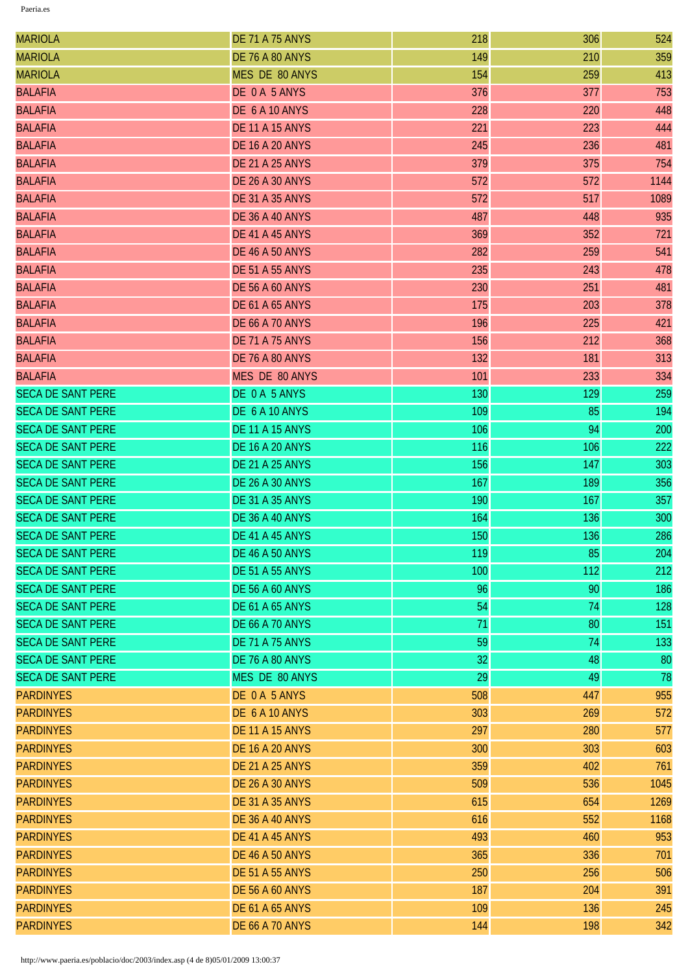| <b>MARIOLA</b>           | <b>DE 71 A 75 ANYS</b> | 218 | 306 | 524  |
|--------------------------|------------------------|-----|-----|------|
| <b>MARIOLA</b>           | <b>DE 76 A 80 ANYS</b> | 149 | 210 | 359  |
| <b>MARIOLA</b>           | MES DE 80 ANYS         | 154 | 259 | 413  |
| <b>BALAFIA</b>           | DE 0A 5 ANYS           | 376 | 377 | 753  |
| <b>BALAFIA</b>           | DE 6 A 10 ANYS         | 228 | 220 | 448  |
| <b>BALAFIA</b>           | <b>DE 11 A 15 ANYS</b> | 221 | 223 | 444  |
| <b>BALAFIA</b>           | <b>DE 16 A 20 ANYS</b> | 245 | 236 | 481  |
| <b>BALAFIA</b>           | <b>DE 21 A 25 ANYS</b> | 379 | 375 | 754  |
| <b>BALAFIA</b>           | <b>DE 26 A 30 ANYS</b> | 572 | 572 | 1144 |
| <b>BALAFIA</b>           | <b>DE 31 A 35 ANYS</b> | 572 | 517 | 1089 |
| <b>BALAFIA</b>           | <b>DE 36 A 40 ANYS</b> | 487 | 448 | 935  |
| <b>BALAFIA</b>           | DE 41 A 45 ANYS        | 369 | 352 | 721  |
| <b>BALAFIA</b>           | <b>DE 46 A 50 ANYS</b> | 282 | 259 | 541  |
| <b>BALAFIA</b>           | <b>DE 51 A 55 ANYS</b> | 235 | 243 | 478  |
| <b>BALAFIA</b>           | <b>DE 56 A 60 ANYS</b> | 230 | 251 | 481  |
| <b>BALAFIA</b>           | <b>DE 61 A 65 ANYS</b> | 175 | 203 | 378  |
| <b>BALAFIA</b>           | <b>DE 66 A 70 ANYS</b> | 196 | 225 | 421  |
| <b>BALAFIA</b>           | <b>DE 71 A 75 ANYS</b> | 156 | 212 | 368  |
| <b>BALAFIA</b>           | <b>DE 76 A 80 ANYS</b> | 132 | 181 | 313  |
| <b>BALAFIA</b>           | MES DE 80 ANYS         | 101 | 233 | 334  |
| <b>SECA DE SANT PERE</b> | DE 0 A 5 ANYS          | 130 | 129 | 259  |
| <b>SECA DE SANT PERE</b> | DE 6 A 10 ANYS         | 109 | 85  | 194  |
| <b>SECA DE SANT PERE</b> | <b>DE 11 A 15 ANYS</b> | 106 | 94  | 200  |
| <b>SECA DE SANT PERE</b> | <b>DE 16 A 20 ANYS</b> | 116 | 106 | 222  |
| <b>SECA DE SANT PERE</b> | <b>DE 21 A 25 ANYS</b> | 156 | 147 | 303  |
| <b>SECA DE SANT PERE</b> | <b>DE 26 A 30 ANYS</b> | 167 | 189 | 356  |
| <b>SECA DE SANT PERE</b> | <b>DE 31 A 35 ANYS</b> | 190 | 167 | 357  |
| <b>SECA DE SANT PERE</b> | DE 36 A 40 ANYS        | 164 | 136 | 300  |
| <b>SECA DE SANT PERE</b> | DE 41 A 45 ANYS        | 150 | 136 | 286  |
| <b>SECA DE SANT PERE</b> | <b>DE 46 A 50 ANYS</b> | 119 | 85  | 204  |
| <b>SECA DE SANT PERE</b> | <b>DE 51 A 55 ANYS</b> | 100 | 112 | 212  |
| <b>SECA DE SANT PERE</b> | <b>DE 56 A 60 ANYS</b> | 96  | 90  | 186  |
| <b>SECA DE SANT PERE</b> | <b>DE 61 A 65 ANYS</b> | 54  | 74  | 128  |
| <b>SECA DE SANT PERE</b> | <b>DE 66 A 70 ANYS</b> | 71  | 80  | 151  |
| <b>SECA DE SANT PERE</b> | <b>DE 71 A 75 ANYS</b> | 59  | 74  | 133  |
| <b>SECA DE SANT PERE</b> | <b>DE 76 A 80 ANYS</b> | 32  | 48  | 80   |
| <b>SECA DE SANT PERE</b> | MES DE 80 ANYS         | 29  | 49  | 78   |
| <b>PARDINYES</b>         | DE 0A 5 ANYS           | 508 | 447 | 955  |
| <b>PARDINYES</b>         | DE 6 A 10 ANYS         | 303 | 269 | 572  |
| <b>PARDINYES</b>         | <b>DE 11 A 15 ANYS</b> | 297 | 280 | 577  |
| <b>PARDINYES</b>         | <b>DE 16 A 20 ANYS</b> | 300 | 303 | 603  |
| <b>PARDINYES</b>         | <b>DE 21 A 25 ANYS</b> | 359 | 402 | 761  |
| <b>PARDINYES</b>         | <b>DE 26 A 30 ANYS</b> | 509 | 536 | 1045 |
| <b>PARDINYES</b>         | <b>DE 31 A 35 ANYS</b> | 615 | 654 | 1269 |
| <b>PARDINYES</b>         | <b>DE 36 A 40 ANYS</b> | 616 | 552 | 1168 |
| <b>PARDINYES</b>         | DE 41 A 45 ANYS        | 493 | 460 | 953  |
| <b>PARDINYES</b>         | <b>DE 46 A 50 ANYS</b> | 365 | 336 | 701  |
| <b>PARDINYES</b>         | <b>DE 51 A 55 ANYS</b> | 250 | 256 | 506  |
| <b>PARDINYES</b>         | <b>DE 56 A 60 ANYS</b> | 187 | 204 | 391  |
| <b>PARDINYES</b>         | <b>DE 61 A 65 ANYS</b> | 109 | 136 | 245  |
| <b>PARDINYES</b>         | <b>DE 66 A 70 ANYS</b> | 144 | 198 | 342  |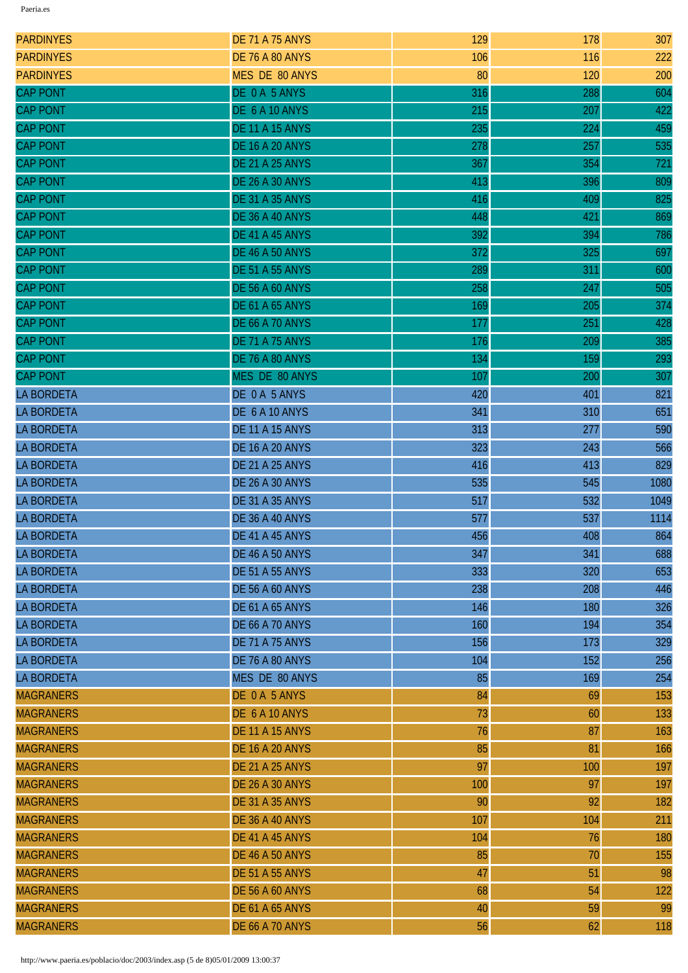| <b>PARDINYES</b>  | <b>DE 71 A 75 ANYS</b> | 129 | 178 | 307  |
|-------------------|------------------------|-----|-----|------|
| <b>PARDINYES</b>  | <b>DE 76 A 80 ANYS</b> | 106 | 116 | 222  |
| <b>PARDINYES</b>  | <b>MES DE 80 ANYS</b>  | 80  | 120 | 200  |
| <b>CAP PONT</b>   | DE 0 A 5 ANYS          | 316 | 288 | 604  |
| <b>CAP PONT</b>   | DE 6 A 10 ANYS         | 215 | 207 | 422  |
| <b>CAP PONT</b>   | <b>DE 11 A 15 ANYS</b> | 235 | 224 | 459  |
| <b>CAP PONT</b>   | <b>DE 16 A 20 ANYS</b> | 278 | 257 | 535  |
| <b>CAP PONT</b>   | <b>DE 21 A 25 ANYS</b> | 367 | 354 | 721  |
| <b>CAP PONT</b>   | <b>DE 26 A 30 ANYS</b> | 413 | 396 | 809  |
| <b>CAP PONT</b>   | <b>DE 31 A 35 ANYS</b> | 416 | 409 | 825  |
| <b>CAP PONT</b>   | DE 36 A 40 ANYS        | 448 | 421 | 869  |
| <b>CAP PONT</b>   | DE 41 A 45 ANYS        | 392 | 394 | 786  |
| <b>CAP PONT</b>   | <b>DE 46 A 50 ANYS</b> | 372 | 325 | 697  |
| <b>CAP PONT</b>   | <b>DE 51 A 55 ANYS</b> | 289 | 311 | 600  |
| <b>CAP PONT</b>   | <b>DE 56 A 60 ANYS</b> | 258 | 247 | 505  |
| <b>CAP PONT</b>   | <b>DE 61 A 65 ANYS</b> | 169 | 205 | 374  |
| <b>CAP PONT</b>   | <b>DE 66 A 70 ANYS</b> | 177 | 251 | 428  |
| <b>CAP PONT</b>   | <b>DE 71 A 75 ANYS</b> | 176 | 209 | 385  |
| <b>CAP PONT</b>   | DE 76 A 80 ANYS        | 134 | 159 | 293  |
| <b>CAP PONT</b>   | MES DE 80 ANYS         | 107 | 200 | 307  |
| <b>LA BORDETA</b> | DE 0 A 5 ANYS          | 420 | 401 | 821  |
| <b>LA BORDETA</b> | DE 6 A 10 ANYS         | 341 | 310 | 651  |
| <b>LA BORDETA</b> | <b>DE 11 A 15 ANYS</b> | 313 | 277 | 590  |
| <b>LA BORDETA</b> | <b>DE 16 A 20 ANYS</b> | 323 | 243 | 566  |
| <b>LA BORDETA</b> | <b>DE 21 A 25 ANYS</b> | 416 | 413 | 829  |
| <b>LA BORDETA</b> | <b>DE 26 A 30 ANYS</b> | 535 | 545 | 1080 |
| <b>LA BORDETA</b> | <b>DE 31 A 35 ANYS</b> | 517 | 532 | 1049 |
| <b>LA BORDETA</b> | <b>DE 36 A 40 ANYS</b> | 577 | 537 | 1114 |
| <b>LA BORDETA</b> | DE 41 A 45 ANYS        | 456 | 408 | 864  |
| <b>LA BORDETA</b> | <b>DE 46 A 50 ANYS</b> | 347 | 341 | 688  |
| <b>LA BORDETA</b> | <b>DE 51 A 55 ANYS</b> | 333 | 320 | 653  |
| <b>LA BORDETA</b> | <b>DE 56 A 60 ANYS</b> | 238 | 208 | 446  |
| <b>LA BORDETA</b> | <b>DE 61 A 65 ANYS</b> | 146 | 180 | 326  |
| <b>LA BORDETA</b> | <b>DE 66 A 70 ANYS</b> | 160 | 194 | 354  |
| <b>LA BORDETA</b> | <b>DE 71 A 75 ANYS</b> | 156 | 173 | 329  |
| <b>LA BORDETA</b> | <b>DE 76 A 80 ANYS</b> | 104 | 152 | 256  |
| <b>LA BORDETA</b> | MES DE 80 ANYS         | 85  | 169 | 254  |
| <b>MAGRANERS</b>  | DE 0 A 5 ANYS          | 84  | 69  | 153  |
| <b>MAGRANERS</b>  | DE 6 A 10 ANYS         | 73  | 60  | 133  |
| <b>MAGRANERS</b>  | <b>DE 11 A 15 ANYS</b> | 76  | 87  | 163  |
| <b>MAGRANERS</b>  | <b>DE 16 A 20 ANYS</b> | 85  | 81  | 166  |
| <b>MAGRANERS</b>  | <b>DE 21 A 25 ANYS</b> | 97  | 100 | 197  |
| <b>MAGRANERS</b>  | <b>DE 26 A 30 ANYS</b> | 100 | 97  | 197  |
| <b>MAGRANERS</b>  | <b>DE 31 A 35 ANYS</b> | 90  | 92  | 182  |
| <b>MAGRANERS</b>  | <b>DE 36 A 40 ANYS</b> | 107 | 104 | 211  |
| <b>MAGRANERS</b>  | DE 41 A 45 ANYS        | 104 | 76  | 180  |
| <b>MAGRANERS</b>  | <b>DE 46 A 50 ANYS</b> | 85  | 70  | 155  |
| <b>MAGRANERS</b>  | <b>DE 51 A 55 ANYS</b> | 47  | 51  | 98   |
| <b>MAGRANERS</b>  | <b>DE 56 A 60 ANYS</b> | 68  | 54  | 122  |
| <b>MAGRANERS</b>  | <b>DE 61 A 65 ANYS</b> | 40  | 59  | 99   |
| <b>MAGRANERS</b>  | <b>DE 66 A 70 ANYS</b> | 56  | 62  | 118  |
|                   |                        |     |     |      |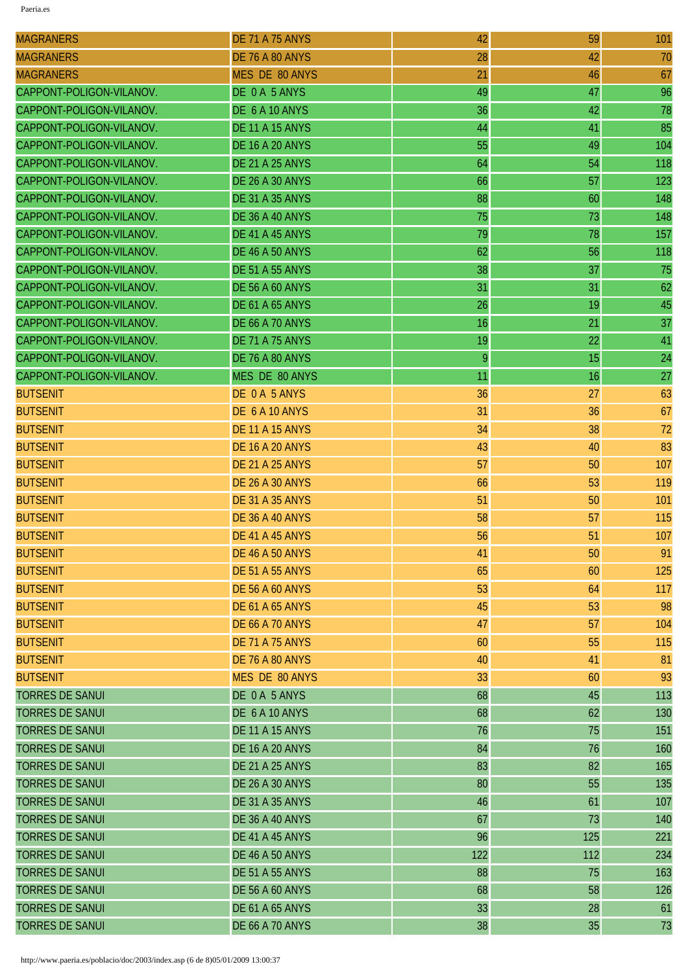| <b>MAGRANERS</b>         | <b>DE 71 A 75 ANYS</b> | 42  | 59  | 101 |
|--------------------------|------------------------|-----|-----|-----|
| <b>MAGRANERS</b>         | <b>DE 76 A 80 ANYS</b> | 28  | 42  | 70  |
| <b>MAGRANERS</b>         | MES DE 80 ANYS         | 21  | 46  | 67  |
| CAPPONT-POLIGON-VILANOV. | DE 0 A 5 ANYS          | 49  | 47  | 96  |
| CAPPONT-POLIGON-VILANOV. | DE 6 A 10 ANYS         | 36  | 42  | 78  |
| CAPPONT-POLIGON-VILANOV. | <b>DE 11 A 15 ANYS</b> | 44  | 41  | 85  |
| CAPPONT-POLIGON-VILANOV. | <b>DE 16 A 20 ANYS</b> | 55  | 49  | 104 |
| CAPPONT-POLIGON-VILANOV. | <b>DE 21 A 25 ANYS</b> | 64  | 54  | 118 |
| CAPPONT-POLIGON-VILANOV. | <b>DE 26 A 30 ANYS</b> | 66  | 57  | 123 |
| CAPPONT-POLIGON-VILANOV. | <b>DE 31 A 35 ANYS</b> | 88  | 60  | 148 |
| CAPPONT-POLIGON-VILANOV. | <b>DE 36 A 40 ANYS</b> | 75  | 73  | 148 |
| CAPPONT-POLIGON-VILANOV. | DE 41 A 45 ANYS        | 79  | 78  | 157 |
| CAPPONT-POLIGON-VILANOV. | <b>DE 46 A 50 ANYS</b> | 62  | 56  | 118 |
| CAPPONT-POLIGON-VILANOV. | <b>DE 51 A 55 ANYS</b> | 38  | 37  | 75  |
| CAPPONT-POLIGON-VILANOV. | <b>DE 56 A 60 ANYS</b> | 31  | 31  | 62  |
| CAPPONT-POLIGON-VILANOV. | <b>DE 61 A 65 ANYS</b> | 26  | 19  | 45  |
| CAPPONT-POLIGON-VILANOV. | <b>DE 66 A 70 ANYS</b> | 16  | 21  | 37  |
| CAPPONT-POLIGON-VILANOV. | <b>DE 71 A 75 ANYS</b> | 19  | 22  | 41  |
| CAPPONT-POLIGON-VILANOV. | <b>DE 76 A 80 ANYS</b> | 9   | 15  | 24  |
| CAPPONT-POLIGON-VILANOV. | MES DE 80 ANYS         | 11  | 16  | 27  |
| <b>BUTSENIT</b>          | DE 0 A 5 ANYS          | 36  | 27  | 63  |
| <b>BUTSENIT</b>          | DE 6 A 10 ANYS         | 31  | 36  | 67  |
| <b>BUTSENIT</b>          | <b>DE 11 A 15 ANYS</b> | 34  | 38  | 72  |
| <b>BUTSENIT</b>          | <b>DE 16 A 20 ANYS</b> | 43  | 40  | 83  |
| <b>BUTSENIT</b>          | <b>DE 21 A 25 ANYS</b> | 57  | 50  | 107 |
| <b>BUTSENIT</b>          | <b>DE 26 A 30 ANYS</b> | 66  | 53  | 119 |
| <b>BUTSENIT</b>          | <b>DE 31 A 35 ANYS</b> | 51  | 50  | 101 |
| <b>BUTSENIT</b>          | <b>DE 36 A 40 ANYS</b> | 58  | 57  | 115 |
| <b>BUTSENIT</b>          | <b>DE 41 A 45 ANYS</b> | 56  | 51  | 107 |
| <b>BUTSENIT</b>          | <b>DE 46 A 50 ANYS</b> | 41  | 50  | 91  |
| <b>BUTSENIT</b>          | <b>DE 51 A 55 ANYS</b> | 65  | 60  | 125 |
| <b>BUTSENIT</b>          | <b>DE 56 A 60 ANYS</b> | 53  | 64  | 117 |
| <b>BUTSENIT</b>          | <b>DE 61 A 65 ANYS</b> | 45  | 53  | 98  |
| <b>BUTSENIT</b>          | <b>DE 66 A 70 ANYS</b> | 47  | 57  | 104 |
| <b>BUTSENIT</b>          | <b>DE 71 A 75 ANYS</b> | 60  | 55  | 115 |
| <b>BUTSENIT</b>          | <b>DE 76 A 80 ANYS</b> | 40  | 41  | 81  |
| <b>BUTSENIT</b>          | MES DE 80 ANYS         | 33  | 60  | 93  |
| <b>TORRES DE SANUI</b>   | DE 0A 5 ANYS           | 68  | 45  | 113 |
| <b>TORRES DE SANUI</b>   | DE 6 A 10 ANYS         | 68  | 62  | 130 |
| <b>TORRES DE SANUI</b>   | <b>DE 11 A 15 ANYS</b> | 76  | 75  | 151 |
| <b>TORRES DE SANUI</b>   | <b>DE 16 A 20 ANYS</b> | 84  | 76  | 160 |
| <b>TORRES DE SANUI</b>   | <b>DE 21 A 25 ANYS</b> | 83  | 82  | 165 |
| <b>TORRES DE SANUI</b>   | <b>DE 26 A 30 ANYS</b> | 80  | 55  | 135 |
| <b>TORRES DE SANUI</b>   | <b>DE 31 A 35 ANYS</b> | 46  | 61  | 107 |
| <b>TORRES DE SANUI</b>   | <b>DE 36 A 40 ANYS</b> | 67  | 73  | 140 |
| <b>TORRES DE SANUI</b>   | DE 41 A 45 ANYS        | 96  | 125 | 221 |
| <b>TORRES DE SANUI</b>   | <b>DE 46 A 50 ANYS</b> | 122 | 112 | 234 |
| <b>TORRES DE SANUI</b>   | <b>DE 51 A 55 ANYS</b> | 88  | 75  | 163 |
| <b>TORRES DE SANUI</b>   | <b>DE 56 A 60 ANYS</b> | 68  | 58  | 126 |
| <b>TORRES DE SANUI</b>   | <b>DE 61 A 65 ANYS</b> | 33  | 28  | 61  |
| <b>TORRES DE SANUI</b>   | <b>DE 66 A 70 ANYS</b> | 38  | 35  | 73  |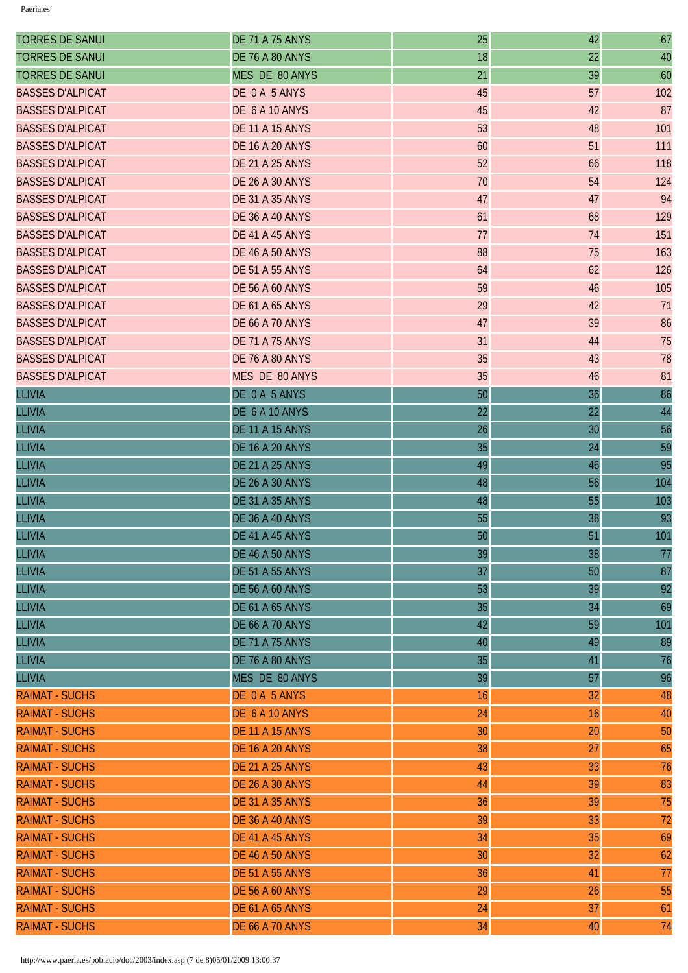| <b>TORRES DE SANUI</b>  | <b>DE 71 A 75 ANYS</b> | 25 | 42 | 67  |
|-------------------------|------------------------|----|----|-----|
| <b>TORRES DE SANUI</b>  | <b>DE 76 A 80 ANYS</b> | 18 | 22 | 40  |
| <b>TORRES DE SANUI</b>  | MES DE 80 ANYS         | 21 | 39 | 60  |
| <b>BASSES D'ALPICAT</b> | DE 0A 5 ANYS           | 45 | 57 | 102 |
| <b>BASSES D'ALPICAT</b> | DE 6 A 10 ANYS         | 45 | 42 | 87  |
| <b>BASSES D'ALPICAT</b> | <b>DE 11 A 15 ANYS</b> | 53 | 48 | 101 |
| <b>BASSES D'ALPICAT</b> | <b>DE 16 A 20 ANYS</b> | 60 | 51 | 111 |
| <b>BASSES D'ALPICAT</b> | <b>DE 21 A 25 ANYS</b> | 52 | 66 | 118 |
| <b>BASSES D'ALPICAT</b> | <b>DE 26 A 30 ANYS</b> | 70 | 54 | 124 |
| <b>BASSES D'ALPICAT</b> | <b>DE 31 A 35 ANYS</b> | 47 | 47 | 94  |
| <b>BASSES D'ALPICAT</b> | <b>DE 36 A 40 ANYS</b> | 61 | 68 | 129 |
| <b>BASSES D'ALPICAT</b> | DE 41 A 45 ANYS        | 77 | 74 | 151 |
| <b>BASSES D'ALPICAT</b> | <b>DE 46 A 50 ANYS</b> | 88 | 75 | 163 |
| <b>BASSES D'ALPICAT</b> | <b>DE 51 A 55 ANYS</b> | 64 | 62 | 126 |
| <b>BASSES D'ALPICAT</b> | <b>DE 56 A 60 ANYS</b> | 59 | 46 | 105 |
| <b>BASSES D'ALPICAT</b> | <b>DE 61 A 65 ANYS</b> | 29 | 42 | 71  |
| <b>BASSES D'ALPICAT</b> | <b>DE 66 A 70 ANYS</b> | 47 | 39 | 86  |
| <b>BASSES D'ALPICAT</b> | <b>DE 71 A 75 ANYS</b> | 31 | 44 | 75  |
| <b>BASSES D'ALPICAT</b> | <b>DE 76 A 80 ANYS</b> | 35 | 43 | 78  |
| <b>BASSES D'ALPICAT</b> | MES DE 80 ANYS         | 35 | 46 | 81  |
| <b>LLIVIA</b>           | DE 0 A 5 ANYS          | 50 | 36 | 86  |
| <b>LLIVIA</b>           | DE 6 A 10 ANYS         | 22 | 22 | 44  |
| <b>LLIVIA</b>           | <b>DE 11 A 15 ANYS</b> | 26 | 30 | 56  |
| <b>LLIVIA</b>           | <b>DE 16 A 20 ANYS</b> | 35 | 24 | 59  |
| <b>LLIVIA</b>           | <b>DE 21 A 25 ANYS</b> | 49 | 46 | 95  |
| <b>LLIVIA</b>           | <b>DE 26 A 30 ANYS</b> | 48 | 56 | 104 |
| <b>LLIVIA</b>           | <b>DE 31 A 35 ANYS</b> | 48 | 55 | 103 |
| <b>LLIVIA</b>           | <b>DE 36 A 40 ANYS</b> | 55 | 38 | 93  |
| <b>LLIVIA</b>           | DE 41 A 45 ANYS        | 50 | 51 | 101 |
| <b>LLIVIA</b>           | <b>DE 46 A 50 ANYS</b> | 39 | 38 | 77  |
| <b>LLIVIA</b>           | <b>DE 51 A 55 ANYS</b> | 37 | 50 | 87  |
| <b>LLIVIA</b>           | <b>DE 56 A 60 ANYS</b> | 53 | 39 | 92  |
| <b>LLIVIA</b>           | <b>DE 61 A 65 ANYS</b> | 35 | 34 | 69  |
| <b>LLIVIA</b>           | <b>DE 66 A 70 ANYS</b> | 42 | 59 | 101 |
| <b>LLIVIA</b>           | <b>DE 71 A 75 ANYS</b> | 40 | 49 | 89  |
| <b>LLIVIA</b>           | <b>DE 76 A 80 ANYS</b> | 35 | 41 | 76  |
| <b>LLIVIA</b>           | MES DE 80 ANYS         | 39 | 57 | 96  |
| <b>RAIMAT - SUCHS</b>   | DE 0 A 5 ANYS          | 16 | 32 | 48  |
| <b>RAIMAT - SUCHS</b>   | DE 6 A 10 ANYS         | 24 | 16 | 40  |
| <b>RAIMAT - SUCHS</b>   | <b>DE 11 A 15 ANYS</b> | 30 | 20 | 50  |
| <b>RAIMAT - SUCHS</b>   | <b>DE 16 A 20 ANYS</b> | 38 | 27 | 65  |
| <b>RAIMAT - SUCHS</b>   | <b>DE 21 A 25 ANYS</b> | 43 | 33 | 76  |
| <b>RAIMAT - SUCHS</b>   | <b>DE 26 A 30 ANYS</b> | 44 | 39 | 83  |
| <b>RAIMAT - SUCHS</b>   | <b>DE 31 A 35 ANYS</b> | 36 | 39 | 75  |
| <b>RAIMAT - SUCHS</b>   | <b>DE 36 A 40 ANYS</b> | 39 | 33 | 72  |
| <b>RAIMAT - SUCHS</b>   | DE 41 A 45 ANYS        | 34 | 35 | 69  |
| <b>RAIMAT - SUCHS</b>   | <b>DE 46 A 50 ANYS</b> | 30 | 32 | 62  |
| <b>RAIMAT - SUCHS</b>   | <b>DE 51 A 55 ANYS</b> | 36 | 41 | 77  |
| <b>RAIMAT - SUCHS</b>   | <b>DE 56 A 60 ANYS</b> | 29 | 26 | 55  |
| <b>RAIMAT - SUCHS</b>   | <b>DE 61 A 65 ANYS</b> | 24 | 37 | 61  |
| <b>RAIMAT - SUCHS</b>   | <b>DE 66 A 70 ANYS</b> | 34 | 40 | 74  |